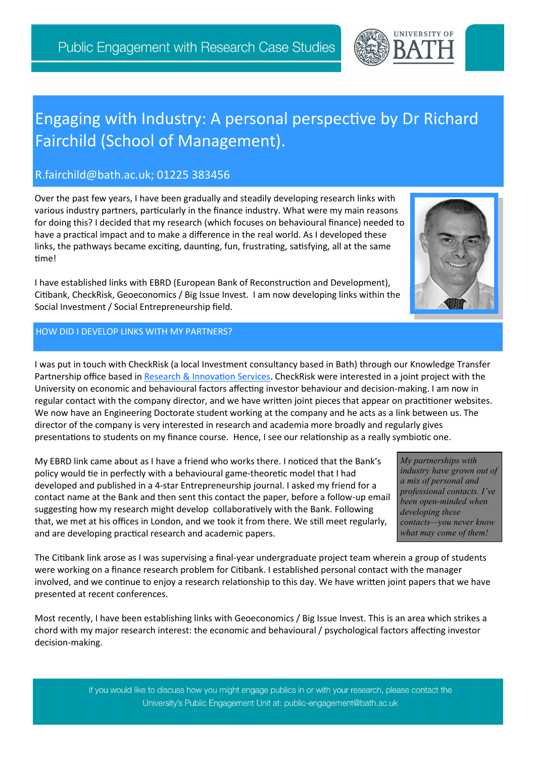

# Engaging with Industry: A personal perspective by Dr Richard Fairchild (School of Management).

## R.fairchild@bath.ac.uk; 01225 383456

Over the past few years, I have been gradually and steadily developing research links with various industry partners, particularly in the finance industry. What were my main reasons for doing this? I decided that my research (which focuses on behavioural finance) needed to have a practical impact and to make a difference in the real world. As I developed these links, the pathways became exciting, daunting, fun, frustrating, satisfying, all at the same time!

I have established links with EBRD (European Bank of Reconstruction and Development), Citibank, CheckRisk, Geoeconomics / Big Issue Invest. I am now developing links within the Social Investment / Social Entrepreneurship field.

### HOW DID I DEVELOP LINKS WITH MY PARTNERS?

I was put in touch with CheckRisk (a local Investment consultancy based in Bath) through our Knowledge Transfer Partnership office based in [Research & Innovation Services.](http://www.bath.ac.uk/ris/) CheckRisk were interested in a joint project with the University on economic and behavioural factors affecting investor behaviour and decision-making. I am now in regular contact with the company director, and we have written joint pieces that appear on practitioner websites. We now have an Engineering Doctorate student working at the company and he acts as a link between us. The director of the company is very interested in research and academia more broadly and regularly gives presentations to students on my finance course. Hence, I see our relationship as a really symbiotic one.

My EBRD link came about as I have a friend who works there. I noticed that the Bank's policy would tie in perfectly with a behavioural game-theoretic model that I had developed and published in a 4-star Entrepreneurship journal. I asked my friend for a contact name at the Bank and then sent this contact the paper, before a follow-up email suggesting how my research might develop collaboratively with the Bank. Following that, we met at his offices in London, and we took it from there. We still meet regularly, and are developing practical research and academic papers.

*My partnerships with industry have grown out of a mix of personal and professional contacts. I've been open-minded when developing these contacts—you never know what may come of them!*

The Citibank link arose as I was supervising a final-year undergraduate project team wherein a group of students were working on a finance research problem for Citibank. I established personal contact with the manager involved, and we continue to enjoy a research relationship to this day. We have written joint papers that we have presented at recent conferences.

Most recently, I have been establishing links with Geoeconomics / Big Issue Invest. This is an area which strikes a chord with my major research interest: the economic and behavioural / psychological factors affecting investor decision-making.

> If you would like to discuss how you might engage publics in or with your research, please contact the University's Public Engagement Unit at: public-engagement@bath.ac.uk